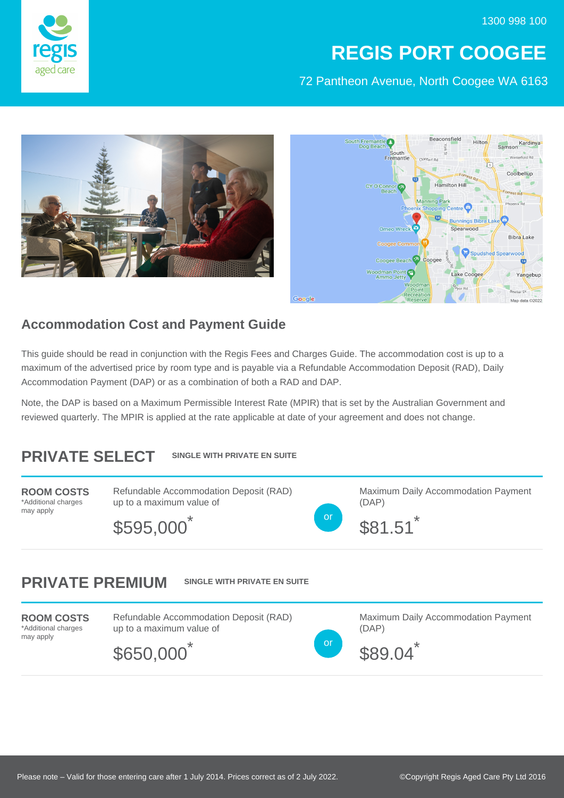1300 998 100



## **REGIS PORT COOGEE**

72 Pantheon Avenue, North Coogee WA 6163





## **Accommodation Cost and Payment Guide**

This guide should be read in conjunction with the Regis Fees and Charges Guide. The accommodation cost is up to a maximum of the advertised price by room type and is payable via a Refundable Accommodation Deposit (RAD), Daily Accommodation Payment (DAP) or as a combination of both a RAD and DAP.

Note, the DAP is based on a Maximum Permissible Interest Rate (MPIR) that is set by the Australian Government and reviewed quarterly. The MPIR is applied at the rate applicable at date of your agreement and does not change.